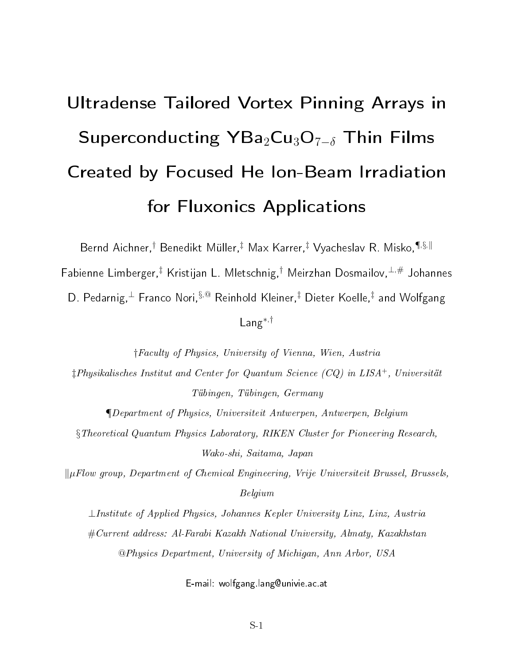## Ultradense Tailored Vortex Pinning Arrays in Superconducting  $YBa_2Cu_3O_{7-\delta}$  Thin Films Created by Focused He Ion-Beam Irradiation for Fluxonics Applications

Bernd Aichner,<sup>†</sup> Benedikt Müller,<sup>‡</sup> Max Karrer,<sup>‡</sup> Vyacheslav R. Misko,<sup>¶,§,||</sup>

Fabienne Limberger,<sup>‡</sup> Kristijan L. Mletschnig,<sup>†</sup> Meirzhan Dosmailov, <sup>⊥,#</sup> Johannes

D. Pedarnig, $^{\perp}$  Franco Nori, $§^{,\circledast}$  Reinhold Kleiner, $^\ddag$  Dieter Koelle, $^\ddag$  and Wolfgang

## Lang<sup>∗</sup>,†

†Faculty of Physics, University of Vienna, Wien, Austria

‡Physikalisches Institut and Center for Quantum Science (CQ) in LISA<sup>+</sup>, Universität Tübingen, Tübingen, Germany

¶Department of Physics, Universiteit Antwerpen, Antwerpen, Belgium §Theoretical Quantum Physics Laboratory, RIKEN Cluster for Pioneering Research, Wako-shi, Saitama, Japan

 $\Vert \mu$ Flow group, Department of Chemical Engineering, Vrije Universiteit Brussel, Brussels, Belgium

⊥Institute of Applied Physics, Johannes Kepler University Linz, Linz, Austria #Current address: Al-Farabi Kazakh National University, Almaty, Kazakhstan @Physics Department, University of Michigan, Ann Arbor, USA

E-mail: wolfgang.lang@univie.ac.at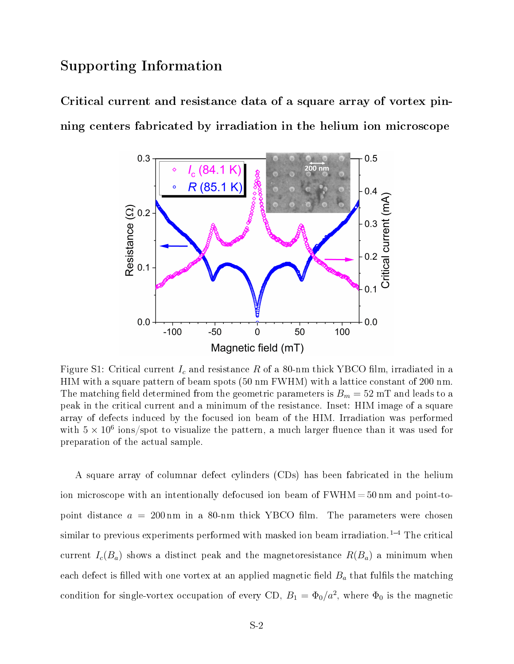## Supporting Information

Critical current and resistance data of a square array of vortex pinning centers fabricated by irradiation in the helium ion microscope



Figure S1: Critical current  $I_c$  and resistance R of a 80-nm thick YBCO film, irradiated in a HIM with a square pattern of beam spots (50 nm FWHM) with a lattice constant of 200 nm. The matching field determined from the geometric parameters is  $B_m = 52$  mT and leads to a peak in the critical current and a minimum of the resistance. Inset: HIM image of a square array of defects induced by the focused ion beam of the HIM. Irradiation was performed with  $5 \times 10^6$  ions/spot to visualize the pattern, a much larger fluence than it was used for preparation of the actual sample.

A square array of columnar defect cylinders (CDs) has been fabricated in the helium ion microscope with an intentionally defocused ion beam of  $FWHM = 50$  nm and point-topoint distance  $a = 200 \,\text{nm}$  in a 80-nm thick YBCO film. The parameters were chosen similar to previous experiments performed with masked ion beam irradiation.<sup>1-4</sup> The critical current  $I_c(B_a)$  shows a distinct peak and the magnetoresistance  $R(B_a)$  a minimum when each defect is filled with one vortex at an applied magnetic field  $B_a$  that fulfils the matching condition for single-vortex occupation of every CD,  $B_1 = \Phi_0/a^2$ , where  $\Phi_0$  is the magnetic